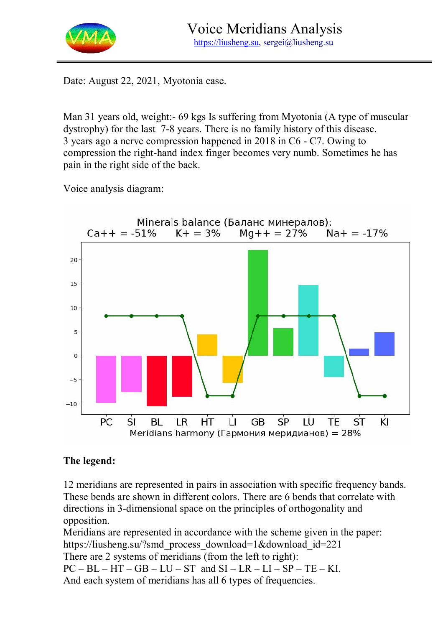

Date: August 22, 2021, Myotonia case.

Man 31 years old, weight:- 69 kgs Is suffering from Myotonia (A type of muscular dystrophy) for the last 7-8 years. There is no family history of this disease. 3 years ago a nerve compression happened in 2018 in C6 - C7. Owing to compression the right-hand index finger becomes very numb. Sometimes he has pain in the right side of the back.

Voice analysis diagram:



## **The legend:**

12 meridians are represented in pairs in association with specific frequency bands. These bends are shown in different colors. There are 6 bends that correlate with directions in 3-dimensional space on the principles of orthogonality and opposition.

Meridians are represented in accordance with the scheme given in the paper: https://liusheng.su/?smd\_process\_download=1&download\_id=221 There are 2 systems of meridians (from the left to right):  $PC - BL - HT - GB - LU - ST$  and  $SI - LR - LI - SP - TE - KI$ . And each system of meridians has all 6 types of frequencies.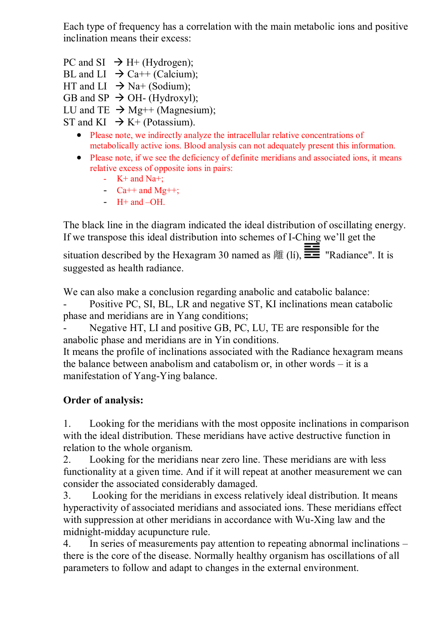Each type of frequency has a correlation with the main metabolic ions and positive inclination means their excess:

- PC and SI  $\rightarrow$  H+ (Hydrogen);
- BL and LI  $\rightarrow$  Ca++ (Calcium);
- HT and LI  $\rightarrow$  Na+ (Sodium):
- GB and SP  $\rightarrow$  OH- (Hydroxyl);
- LU and TE  $\rightarrow$  Mg++ (Magnesium);
- ST and KI  $\rightarrow$  K+ (Potassium).
	- Please note, we indirectly analyze the intracellular relative concentrations of metabolically active ions. Blood analysis can not adequately present this information.
	- Please note, if we see the deficiency of definite meridians and associated ions, it means relative excess of opposite ions in pairs:
		- $K+$  and Na+;
		- $Ca++$  and Mg++;
		- $-H+$  and  $-OH$ .

The black line in the diagram indicated the ideal distribution of oscillating energy. If we transpose this ideal distribution into schemes of I-Ching we'll get the situation described by the Hexagram 30 named as  $\frac{1}{10}$ ,  $\frac{1}{10}$  "Radiance". It is

suggested as health radiance.

We can also make a conclusion regarding anabolic and catabolic balance:

Positive PC, SI, BL, LR and negative ST, KI inclinations mean catabolic phase and meridians are in Yang conditions;

Negative HT, LI and positive GB, PC, LU, TE are responsible for the anabolic phase and meridians are in Yin conditions.

It means the profile of inclinations associated with the Radiance hexagram means the balance between anabolism and catabolism or, in other words – it is a manifestation of Yang-Ying balance.

## **Order of analysis:**

1. Looking for the meridians with the most opposite inclinations in comparison with the ideal distribution. These meridians have active destructive function in relation to the whole organism.

2. Looking for the meridians near zero line. These meridians are with less functionality at a given time. And if it will repeat at another measurement we can consider the associated considerably damaged.

3. Looking for the meridians in excess relatively ideal distribution. It means hyperactivity of associated meridians and associated ions. These meridians effect with suppression at other meridians in accordance with Wu-Xing law and the midnight-midday acupuncture rule.

4. In series of measurements pay attention to repeating abnormal inclinations – there is the core of the disease. Normally healthy organism has oscillations of all parameters to follow and adapt to changes in the external environment.